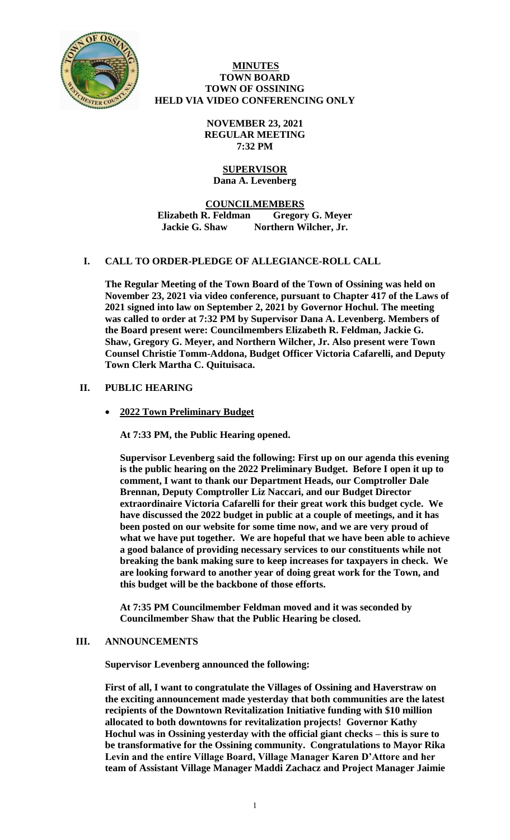

#### **MINUTES TOWN BOARD TOWN OF OSSINING HELD VIA VIDEO CONFERENCING ONLY**

**NOVEMBER 23, 2021 REGULAR MEETING 7:32 PM**

# **SUPERVISOR**

**Dana A. Levenberg**

**COUNCILMEMBERS Elizabeth R. Feldman Gregory G. Meyer Jackie G. Shaw Northern Wilcher, Jr.**

# **I. CALL TO ORDER-PLEDGE OF ALLEGIANCE-ROLL CALL**

**The Regular Meeting of the Town Board of the Town of Ossining was held on November 23, 2021 via video conference, pursuant to Chapter 417 of the Laws of 2021 signed into law on September 2, 2021 by Governor Hochul. The meeting was called to order at 7:32 PM by Supervisor Dana A. Levenberg. Members of the Board present were: Councilmembers Elizabeth R. Feldman, Jackie G. Shaw, Gregory G. Meyer, and Northern Wilcher, Jr. Also present were Town Counsel Christie Tomm-Addona, Budget Officer Victoria Cafarelli, and Deputy Town Clerk Martha C. Quituisaca.** 

# **II. PUBLIC HEARING**

**2022 Town Preliminary Budget**

**At 7:33 PM, the Public Hearing opened.**

**Supervisor Levenberg said the following: First up on our agenda this evening is the public hearing on the 2022 Preliminary Budget. Before I open it up to comment, I want to thank our Department Heads, our Comptroller Dale Brennan, Deputy Comptroller Liz Naccari, and our Budget Director extraordinaire Victoria Cafarelli for their great work this budget cycle. We have discussed the 2022 budget in public at a couple of meetings, and it has been posted on our website for some time now, and we are very proud of what we have put together. We are hopeful that we have been able to achieve a good balance of providing necessary services to our constituents while not breaking the bank making sure to keep increases for taxpayers in check. We are looking forward to another year of doing great work for the Town, and this budget will be the backbone of those efforts.**

**At 7:35 PM Councilmember Feldman moved and it was seconded by Councilmember Shaw that the Public Hearing be closed.**

# **III. ANNOUNCEMENTS**

**Supervisor Levenberg announced the following:**

**First of all, I want to congratulate the Villages of Ossining and Haverstraw on the exciting announcement made yesterday that both communities are the latest recipients of the Downtown Revitalization Initiative funding with \$10 million allocated to both downtowns for revitalization projects! Governor Kathy Hochul was in Ossining yesterday with the official giant checks – this is sure to be transformative for the Ossining community. Congratulations to Mayor Rika Levin and the entire Village Board, Village Manager Karen D'Attore and her team of Assistant Village Manager Maddi Zachacz and Project Manager Jaimie**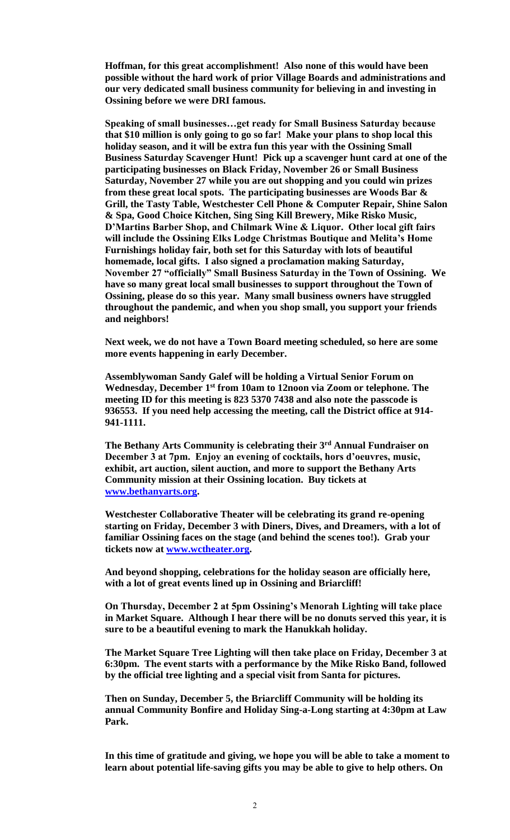**Hoffman, for this great accomplishment! Also none of this would have been possible without the hard work of prior Village Boards and administrations and our very dedicated small business community for believing in and investing in Ossining before we were DRI famous.** 

**Speaking of small businesses…get ready for Small Business Saturday because that \$10 million is only going to go so far! Make your plans to shop local this holiday season, and it will be extra fun this year with the Ossining Small Business Saturday Scavenger Hunt! Pick up a scavenger hunt card at one of the participating businesses on Black Friday, November 26 or Small Business Saturday, November 27 while you are out shopping and you could win prizes from these great local spots. The participating businesses are Woods Bar & Grill, the Tasty Table, Westchester Cell Phone & Computer Repair, Shine Salon & Spa, Good Choice Kitchen, Sing Sing Kill Brewery, Mike Risko Music, D'Martins Barber Shop, and Chilmark Wine & Liquor. Other local gift fairs will include the Ossining Elks Lodge Christmas Boutique and Melita's Home Furnishings holiday fair, both set for this Saturday with lots of beautiful homemade, local gifts. I also signed a proclamation making Saturday, November 27 "officially" Small Business Saturday in the Town of Ossining. We have so many great local small businesses to support throughout the Town of Ossining, please do so this year. Many small business owners have struggled throughout the pandemic, and when you shop small, you support your friends and neighbors!** 

**Next week, we do not have a Town Board meeting scheduled, so here are some more events happening in early December.** 

**Assemblywoman Sandy Galef will be holding a Virtual Senior Forum on Wednesday, December 1st from 10am to 12noon via Zoom or telephone. The meeting ID for this meeting is 823 5370 7438 and also note the passcode is 936553. If you need help accessing the meeting, call the District office at 914- 941-1111.** 

**The Bethany Arts Community is celebrating their 3rd Annual Fundraiser on December 3 at 7pm. Enjoy an evening of cocktails, hors d'oeuvres, music, exhibit, art auction, silent auction, and more to support the Bethany Arts Community mission at their Ossining location. Buy tickets at [www.bethanyarts.org.](http://www.bethanyarts.org/)** 

**Westchester Collaborative Theater will be celebrating its grand re-opening starting on Friday, December 3 with Diners, Dives, and Dreamers, with a lot of familiar Ossining faces on the stage (and behind the scenes too!). Grab your tickets now at [www.wctheater.org.](http://www.wctheater.org/)** 

**And beyond shopping, celebrations for the holiday season are officially here, with a lot of great events lined up in Ossining and Briarcliff!** 

**On Thursday, December 2 at 5pm Ossining's Menorah Lighting will take place in Market Square. Although I hear there will be no donuts served this year, it is sure to be a beautiful evening to mark the Hanukkah holiday.** 

**The Market Square Tree Lighting will then take place on Friday, December 3 at 6:30pm. The event starts with a performance by the Mike Risko Band, followed by the official tree lighting and a special visit from Santa for pictures.** 

**Then on Sunday, December 5, the Briarcliff Community will be holding its annual Community Bonfire and Holiday Sing-a-Long starting at 4:30pm at Law Park.** 

**In this time of gratitude and giving, we hope you will be able to take a moment to learn about potential life-saving gifts you may be able to give to help others. On**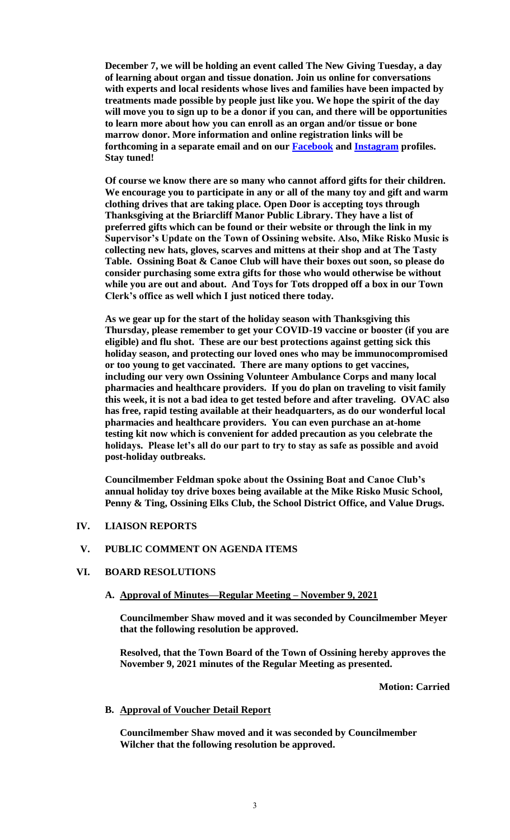**December 7, we will be holding an event called The New Giving Tuesday, a day of learning about organ and tissue donation. Join us online for conversations with experts and local residents whose lives and families have been impacted by treatments made possible by people just like you. We hope the spirit of the day will move you to sign up to be a donor if you can, and there will be opportunities to learn more about how you can enroll as an organ and/or tissue or bone marrow donor. More information and online registration links will be forthcoming in a separate email and on our [Facebook](http://facebook.com/townofossining) and [Instagram](http://instagram.com/townofossining) profiles. Stay tuned!**

**Of course we know there are so many who cannot afford gifts for their children. We encourage you to participate in any or all of the many toy and gift and warm clothing drives that are taking place. Open Door is accepting toys through Thanksgiving at the Briarcliff Manor Public Library. They have a list of preferred gifts which can be found or their website or through the link in my Supervisor's Update on the Town of Ossining website. Also, Mike Risko Music is collecting new hats, gloves, scarves and mittens at their shop and at The Tasty Table. Ossining Boat & Canoe Club will have their boxes out soon, so please do consider purchasing some extra gifts for those who would otherwise be without while you are out and about. And Toys for Tots dropped off a box in our Town Clerk's office as well which I just noticed there today.**

**As we gear up for the start of the holiday season with Thanksgiving this Thursday, please remember to get your COVID-19 vaccine or booster (if you are eligible) and flu shot. These are our best protections against getting sick this holiday season, and protecting our loved ones who may be immunocompromised or too young to get vaccinated. There are many options to get vaccines, including our very own Ossining Volunteer Ambulance Corps and many local pharmacies and healthcare providers. If you do plan on traveling to visit family this week, it is not a bad idea to get tested before and after traveling. OVAC also has free, rapid testing available at their headquarters, as do our wonderful local pharmacies and healthcare providers. You can even purchase an at-home testing kit now which is convenient for added precaution as you celebrate the holidays. Please let's all do our part to try to stay as safe as possible and avoid post-holiday outbreaks.**

**Councilmember Feldman spoke about the Ossining Boat and Canoe Club's annual holiday toy drive boxes being available at the Mike Risko Music School, Penny & Ting, Ossining Elks Club, the School District Office, and Value Drugs.**

#### **IV. LIAISON REPORTS**

#### **V. PUBLIC COMMENT ON AGENDA ITEMS**

#### **VI. BOARD RESOLUTIONS**

#### **A. Approval of Minutes—Regular Meeting – November 9, 2021**

**Councilmember Shaw moved and it was seconded by Councilmember Meyer that the following resolution be approved.**

**Resolved, that the Town Board of the Town of Ossining hereby approves the November 9, 2021 minutes of the Regular Meeting as presented.**

**Motion: Carried**

#### **B. Approval of Voucher Detail Report**

**Councilmember Shaw moved and it was seconded by Councilmember Wilcher that the following resolution be approved.**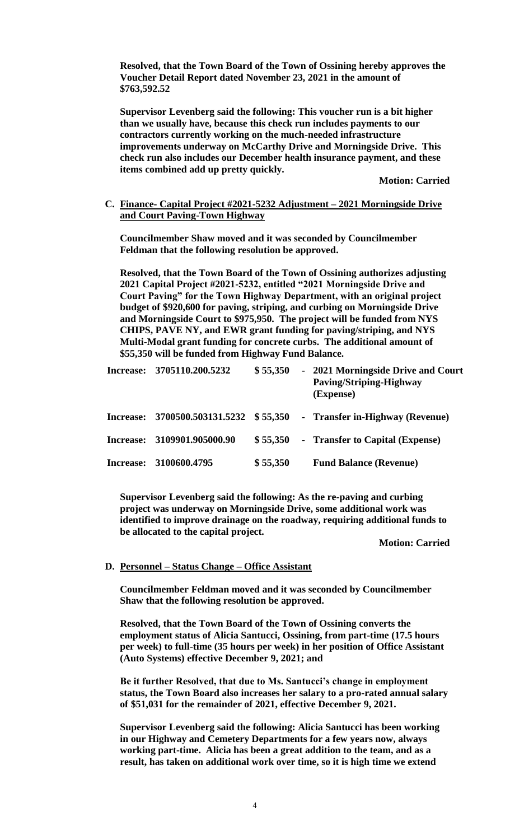**Resolved, that the Town Board of the Town of Ossining hereby approves the Voucher Detail Report dated November 23, 2021 in the amount of \$763,592.52**

**Supervisor Levenberg said the following: This voucher run is a bit higher than we usually have, because this check run includes payments to our contractors currently working on the much-needed infrastructure improvements underway on McCarthy Drive and Morningside Drive. This check run also includes our December health insurance payment, and these items combined add up pretty quickly.**

**Motion: Carried**

#### **C. Finance- Capital Project #2021-5232 Adjustment – 2021 Morningside Drive and Court Paving-Town Highway**

**Councilmember Shaw moved and it was seconded by Councilmember Feldman that the following resolution be approved.**

**Resolved, that the Town Board of the Town of Ossining authorizes adjusting 2021 Capital Project #2021-5232, entitled "2021 Morningside Drive and Court Paving" for the Town Highway Department, with an original project budget of \$920,600 for paving, striping, and curbing on Morningside Drive and Morningside Court to \$975,950. The project will be funded from NYS CHIPS, PAVE NY, and EWR grant funding for paving/striping, and NYS Multi-Modal grant funding for concrete curbs. The additional amount of \$55,350 will be funded from Highway Fund Balance.** 

| Increase: | 3705110.200.5232    | \$55,350  | - 2021 Morningside Drive and Court<br><b>Paving/Striping-Highway</b><br>(Expense) |
|-----------|---------------------|-----------|-----------------------------------------------------------------------------------|
| Increase: | 3700500.503131.5232 | \$55,350  | - Transfer in-Highway (Revenue)                                                   |
| Increase: | 3109901.905000.90   | \$55,350  | - Transfer to Capital (Expense)                                                   |
| Increase: | 3100600.4795        | \$ 55,350 | <b>Fund Balance (Revenue)</b>                                                     |

**Supervisor Levenberg said the following: As the re-paving and curbing project was underway on Morningside Drive, some additional work was identified to improve drainage on the roadway, requiring additional funds to be allocated to the capital project.** 

**Motion: Carried**

## **D. Personnel – Status Change – Office Assistant**

**Councilmember Feldman moved and it was seconded by Councilmember Shaw that the following resolution be approved.**

**Resolved, that the Town Board of the Town of Ossining converts the employment status of Alicia Santucci, Ossining, from part-time (17.5 hours per week) to full-time (35 hours per week) in her position of Office Assistant (Auto Systems) effective December 9, 2021; and** 

**Be it further Resolved, that due to Ms. Santucci's change in employment status, the Town Board also increases her salary to a pro-rated annual salary of \$51,031 for the remainder of 2021, effective December 9, 2021.** 

**Supervisor Levenberg said the following: Alicia Santucci has been working in our Highway and Cemetery Departments for a few years now, always working part-time. Alicia has been a great addition to the team, and as a result, has taken on additional work over time, so it is high time we extend**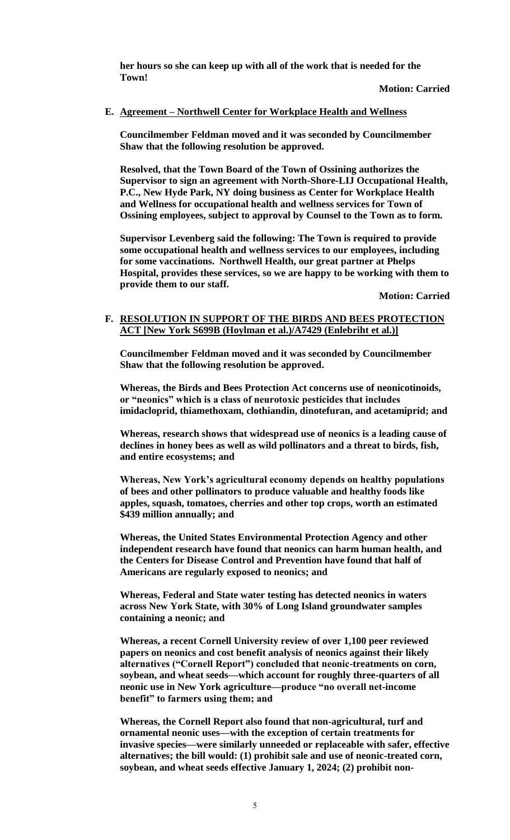**her hours so she can keep up with all of the work that is needed for the Town!**

**Motion: Carried**

#### **E. Agreement – Northwell Center for Workplace Health and Wellness**

**Councilmember Feldman moved and it was seconded by Councilmember Shaw that the following resolution be approved.**

**Resolved, that the Town Board of the Town of Ossining authorizes the Supervisor to sign an agreement with North-Shore-LIJ Occupational Health, P.C., New Hyde Park, NY doing business as Center for Workplace Health and Wellness for occupational health and wellness services for Town of Ossining employees, subject to approval by Counsel to the Town as to form.**

**Supervisor Levenberg said the following: The Town is required to provide some occupational health and wellness services to our employees, including for some vaccinations. Northwell Health, our great partner at Phelps Hospital, provides these services, so we are happy to be working with them to provide them to our staff.**

**Motion: Carried**

#### **F. RESOLUTION IN SUPPORT OF THE BIRDS AND BEES PROTECTION ACT [New York S699B (Hoylman et al.)/A7429 (Enlebriht et al.)]**

**Councilmember Feldman moved and it was seconded by Councilmember Shaw that the following resolution be approved.**

**Whereas, the Birds and Bees Protection Act concerns use of neonicotinoids, or "neonics" which is a class of neurotoxic pesticides that includes imidacloprid, thiamethoxam, clothiandin, dinotefuran, and acetamiprid; and** 

**Whereas, research shows that widespread use of neonics is a leading cause of declines in honey bees as well as wild pollinators and a threat to birds, fish, and entire ecosystems; and** 

**Whereas, New York's agricultural economy depends on healthy populations of bees and other pollinators to produce valuable and healthy foods like apples, squash, tomatoes, cherries and other top crops, worth an estimated \$439 million annually; and**

**Whereas, the United States Environmental Protection Agency and other independent research have found that neonics can harm human health, and the Centers for Disease Control and Prevention have found that half of Americans are regularly exposed to neonics; and** 

**Whereas, Federal and State water testing has detected neonics in waters across New York State, with 30% of Long Island groundwater samples containing a neonic; and** 

**Whereas, a recent Cornell University review of over 1,100 peer reviewed papers on neonics and cost benefit analysis of neonics against their likely alternatives ("Cornell Report") concluded that neonic-treatments on corn, soybean, and wheat seeds—which account for roughly three-quarters of all neonic use in New York agriculture—produce "no overall net-income benefit" to farmers using them; and**

**Whereas, the Cornell Report also found that non-agricultural, turf and ornamental neonic uses—with the exception of certain treatments for invasive species—were similarly unneeded or replaceable with safer, effective alternatives; the bill would: (1) prohibit sale and use of neonic-treated corn, soybean, and wheat seeds effective January 1, 2024; (2) prohibit non-**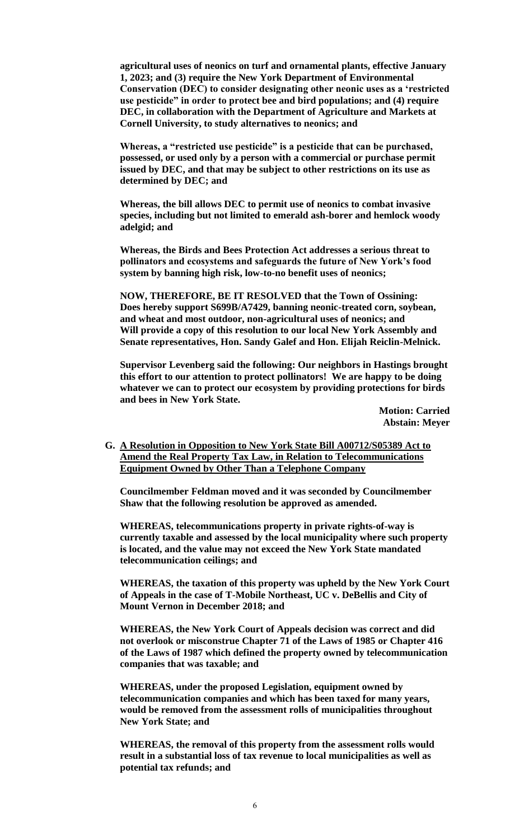**agricultural uses of neonics on turf and ornamental plants, effective January 1, 2023; and (3) require the New York Department of Environmental Conservation (DEC) to consider designating other neonic uses as a 'restricted use pesticide" in order to protect bee and bird populations; and (4) require DEC, in collaboration with the Department of Agriculture and Markets at Cornell University, to study alternatives to neonics; and** 

**Whereas, a "restricted use pesticide" is a pesticide that can be purchased, possessed, or used only by a person with a commercial or purchase permit issued by DEC, and that may be subject to other restrictions on its use as determined by DEC; and** 

**Whereas, the bill allows DEC to permit use of neonics to combat invasive species, including but not limited to emerald ash-borer and hemlock woody adelgid; and**

**Whereas, the Birds and Bees Protection Act addresses a serious threat to pollinators and ecosystems and safeguards the future of New York's food system by banning high risk, low-to-no benefit uses of neonics;** 

**NOW, THEREFORE, BE IT RESOLVED that the Town of Ossining: Does hereby support S699B/A7429, banning neonic-treated corn, soybean, and wheat and most outdoor, non-agricultural uses of neonics; and Will provide a copy of this resolution to our local New York Assembly and Senate representatives, Hon. Sandy Galef and Hon. Elijah Reiclin-Melnick.**

**Supervisor Levenberg said the following: Our neighbors in Hastings brought this effort to our attention to protect pollinators! We are happy to be doing whatever we can to protect our ecosystem by providing protections for birds and bees in New York State.**

> **Motion: Carried Abstain: Meyer**

**G. A Resolution in Opposition to New York State Bill A00712/S05389 Act to Amend the Real Property Tax Law, in Relation to Telecommunications Equipment Owned by Other Than a Telephone Company**

**Councilmember Feldman moved and it was seconded by Councilmember Shaw that the following resolution be approved as amended.**

**WHEREAS, telecommunications property in private rights-of-way is currently taxable and assessed by the local municipality where such property is located, and the value may not exceed the New York State mandated telecommunication ceilings; and**

**WHEREAS, the taxation of this property was upheld by the New York Court of Appeals in the case of T-Mobile Northeast, UC v. DeBellis and City of Mount Vernon in December 2018; and**

**WHEREAS, the New York Court of Appeals decision was correct and did not overlook or misconstrue Chapter 71 of the Laws of 1985 or Chapter 416 of the Laws of 1987 which defined the property owned by telecommunication companies that was taxable; and**

**WHEREAS, under the proposed Legislation, equipment owned by telecommunication companies and which has been taxed for many years, would be removed from the assessment rolls of municipalities throughout New York State; and**

**WHEREAS, the removal of this property from the assessment rolls would result in a substantial loss of tax revenue to local municipalities as well as potential tax refunds; and**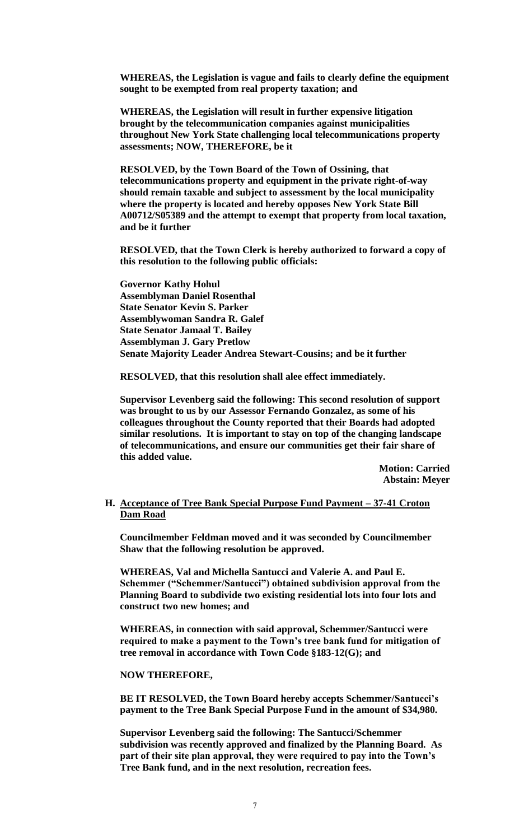**WHEREAS, the Legislation is vague and fails to clearly define the equipment sought to be exempted from real property taxation; and**

**WHEREAS, the Legislation will result in further expensive litigation brought by the telecommunication companies against municipalities throughout New York State challenging local telecommunications property assessments; NOW, THEREFORE, be it**

**RESOLVED, by the Town Board of the Town of Ossining, that telecommunications property and equipment in the private right-of-way should remain taxable and subject to assessment by the local municipality where the property is located and hereby opposes New York State Bill A00712/S05389 and the attempt to exempt that property from local taxation, and be it further**

**RESOLVED, that the Town Clerk is hereby authorized to forward a copy of this resolution to the following public officials:**

**Governor Kathy Hohul Assemblyman Daniel Rosenthal State Senator Kevin S. Parker Assemblywoman Sandra R. Galef State Senator Jamaal T. Bailey Assemblyman J. Gary Pretlow Senate Majority Leader Andrea Stewart-Cousins; and be it further**

**RESOLVED, that this resolution shall alee effect immediately.**

**Supervisor Levenberg said the following: This second resolution of support was brought to us by our Assessor Fernando Gonzalez, as some of his colleagues throughout the County reported that their Boards had adopted similar resolutions. It is important to stay on top of the changing landscape of telecommunications, and ensure our communities get their fair share of this added value.**

> **Motion: Carried Abstain: Meyer**

#### **H. Acceptance of Tree Bank Special Purpose Fund Payment – 37-41 Croton Dam Road**

**Councilmember Feldman moved and it was seconded by Councilmember Shaw that the following resolution be approved.**

**WHEREAS, Val and Michella Santucci and Valerie A. and Paul E. Schemmer ("Schemmer/Santucci") obtained subdivision approval from the Planning Board to subdivide two existing residential lots into four lots and construct two new homes; and**

**WHEREAS, in connection with said approval, Schemmer/Santucci were required to make a payment to the Town's tree bank fund for mitigation of tree removal in accordance with Town Code §183-12(G); and**

**NOW THEREFORE,**

**BE IT RESOLVED, the Town Board hereby accepts Schemmer/Santucci's payment to the Tree Bank Special Purpose Fund in the amount of \$34,980.**

**Supervisor Levenberg said the following: The Santucci/Schemmer subdivision was recently approved and finalized by the Planning Board. As part of their site plan approval, they were required to pay into the Town's Tree Bank fund, and in the next resolution, recreation fees.**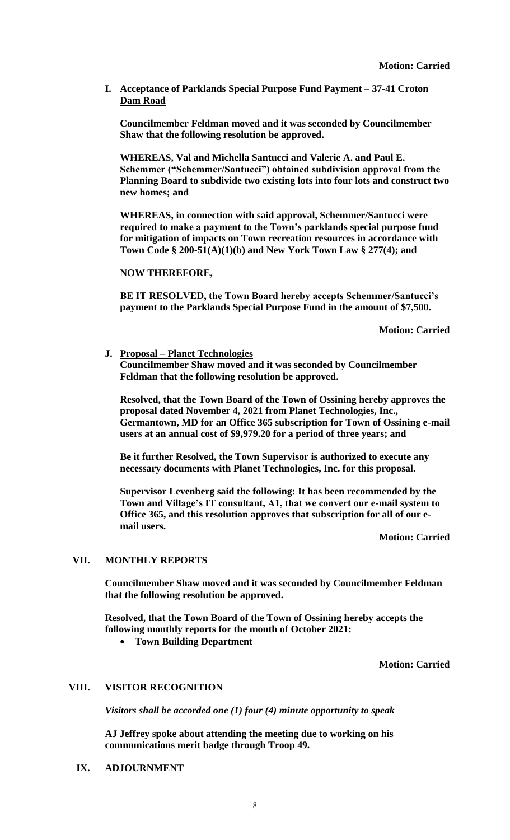## **I. Acceptance of Parklands Special Purpose Fund Payment – 37-41 Croton Dam Road**

**Councilmember Feldman moved and it was seconded by Councilmember Shaw that the following resolution be approved.**

**WHEREAS, Val and Michella Santucci and Valerie A. and Paul E. Schemmer ("Schemmer/Santucci") obtained subdivision approval from the Planning Board to subdivide two existing lots into four lots and construct two new homes; and**

**WHEREAS, in connection with said approval, Schemmer/Santucci were required to make a payment to the Town's parklands special purpose fund for mitigation of impacts on Town recreation resources in accordance with Town Code § 200-51(A)(1)(b) and New York Town Law § 277(4); and**

**NOW THEREFORE,**

**BE IT RESOLVED, the Town Board hereby accepts Schemmer/Santucci's payment to the Parklands Special Purpose Fund in the amount of \$7,500.**

**Motion: Carried**

**J. Proposal – Planet Technologies Councilmember Shaw moved and it was seconded by Councilmember Feldman that the following resolution be approved.**

**Resolved, that the Town Board of the Town of Ossining hereby approves the proposal dated November 4, 2021 from Planet Technologies, Inc., Germantown, MD for an Office 365 subscription for Town of Ossining e-mail users at an annual cost of \$9,979.20 for a period of three years; and** 

**Be it further Resolved, the Town Supervisor is authorized to execute any necessary documents with Planet Technologies, Inc. for this proposal.**

**Supervisor Levenberg said the following: It has been recommended by the Town and Village's IT consultant, A1, that we convert our e-mail system to Office 365, and this resolution approves that subscription for all of our email users.**

**Motion: Carried**

## **VII. MONTHLY REPORTS**

**Councilmember Shaw moved and it was seconded by Councilmember Feldman that the following resolution be approved.**

**Resolved, that the Town Board of the Town of Ossining hereby accepts the following monthly reports for the month of October 2021:**

**Town Building Department** 

**Motion: Carried**

## **VIII. VISITOR RECOGNITION**

*Visitors shall be accorded one (1) four (4) minute opportunity to speak*

**AJ Jeffrey spoke about attending the meeting due to working on his communications merit badge through Troop 49.** 

**IX. ADJOURNMENT**